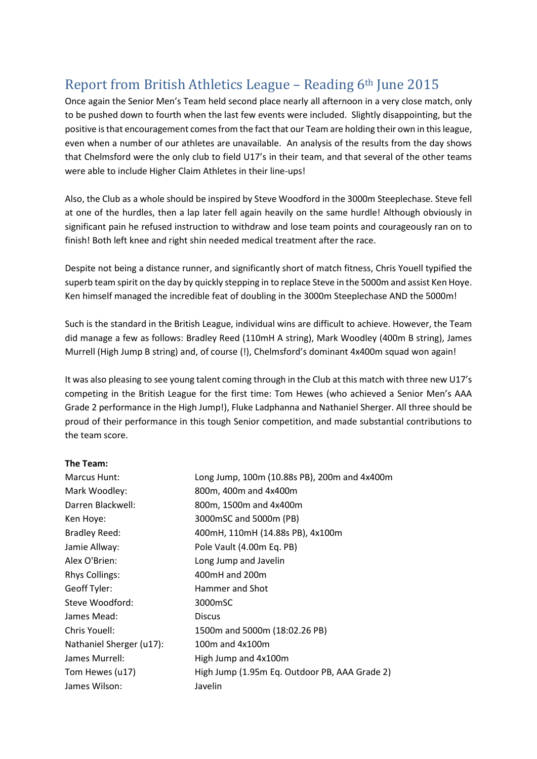## Report from British Athletics League – Reading 6th June 2015

Once again the Senior Men's Team held second place nearly all afternoon in a very close match, only to be pushed down to fourth when the last few events were included. Slightly disappointing, but the positive is that encouragement comes from the fact that our Team are holding their own in this league, even when a number of our athletes are unavailable. An analysis of the results from the day shows that Chelmsford were the only club to field U17's in their team, and that several of the other teams were able to include Higher Claim Athletes in their line-ups!

Also, the Club as a whole should be inspired by Steve Woodford in the 3000m Steeplechase. Steve fell at one of the hurdles, then a lap later fell again heavily on the same hurdle! Although obviously in significant pain he refused instruction to withdraw and lose team points and courageously ran on to finish! Both left knee and right shin needed medical treatment after the race.

Despite not being a distance runner, and significantly short of match fitness, Chris Youell typified the superb team spirit on the day by quickly stepping in to replace Steve in the 5000m and assist Ken Hoye. Ken himself managed the incredible feat of doubling in the 3000m Steeplechase AND the 5000m!

Such is the standard in the British League, individual wins are difficult to achieve. However, the Team did manage a few as follows: Bradley Reed (110mH A string), Mark Woodley (400m B string), James Murrell (High Jump B string) and, of course (!), Chelmsford's dominant 4x400m squad won again!

It was also pleasing to see young talent coming through in the Club at this match with three new U17's competing in the British League for the first time: Tom Hewes (who achieved a Senior Men's AAA Grade 2 performance in the High Jump!), Fluke Ladphanna and Nathaniel Sherger. All three should be proud of their performance in this tough Senior competition, and made substantial contributions to the team score.

## **The Team:**

| Marcus Hunt:             | Long Jump, 100m (10.88s PB), 200m and 4x400m  |
|--------------------------|-----------------------------------------------|
| Mark Woodley:            | 800m, 400m and 4x400m                         |
| Darren Blackwell:        | 800m, 1500m and 4x400m                        |
| Ken Hoye:                | 3000mSC and 5000m (PB)                        |
| <b>Bradley Reed:</b>     | 400mH, 110mH (14.88s PB), 4x100m              |
| Jamie Allway:            | Pole Vault (4.00m Eq. PB)                     |
| Alex O'Brien:            | Long Jump and Javelin                         |
| <b>Rhys Collings:</b>    | 400mH and 200m                                |
| Geoff Tyler:             | Hammer and Shot                               |
| Steve Woodford:          | 3000mSC                                       |
| James Mead:              | <b>Discus</b>                                 |
| Chris Youell:            | 1500m and 5000m (18:02.26 PB)                 |
| Nathaniel Sherger (u17): | 100m and 4x100m                               |
| James Murrell:           | High Jump and 4x100m                          |
| Tom Hewes (u17)          | High Jump (1.95m Eq. Outdoor PB, AAA Grade 2) |
| James Wilson:            | Javelin                                       |